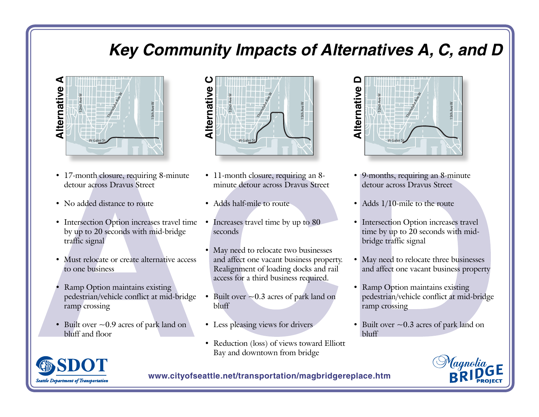# **Key Community Impacts of Alternatives A, C, and D**



- 17-month closure, requiring 8-minute detour across Dravus Street
- No added distance to route
- Intersection Option increases travel time by up to 20 seconds with mid-bridge traffic signal
- Must relocate or create alternative access to one business
- Ramp Option maintains existing pedestrian/vehicle conflict at mid-bridge ramp crossing
- Built over  $\sim$  0.9 acres of park land on bluff and floor



- 11-month closure, requiring an 8minute detour across Dravus Street
- Adds half-mile to route
- Increases travel time by up to 80 seconds
- May need to relocate two businesses and affect one vacant business property. Realignment of loading docks and rail access for a third business required.
- Built over  $\sim$  0.3 acres of park land on bluff
- Less pleasing views for drivers
- Reduction (loss) of views toward Elliott Bay and downtown from bridge



- 9-months, requiring an 8-minute detour across Dravus Street
- Adds 1/10-mile to the route
- Intersection Option increases travel time by up to 20 seconds with midbridge traffic signal
- May need to relocate three businesses and affect one vacant business property
- Ramp Option maintains existing pedestrian/vehicle conflict at mid-bridge ramp crossing
- Built over  $\sim$  0.3 acres of park land on bluff



**www.cityofseattle.net/transportation/magbridgereplace.htm**